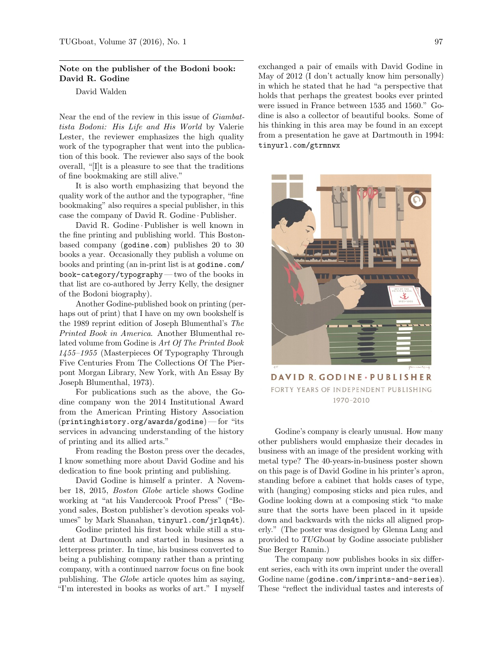## Note on the publisher of the Bodoni book: David R. Godine

David Walden

Near the end of the review in this issue of Giambattista Bodoni: His Life and His World by Valerie Lester, the reviewer emphasizes the high quality work of the typographer that went into the publication of this book. The reviewer also says of the book overall, "[I]t is a pleasure to see that the traditions of fine bookmaking are still alive."

It is also worth emphasizing that beyond the quality work of the author and the typographer, "fine bookmaking" also requires a special publisher, in this case the company of David R. Godine ·Publisher.

David R. Godine ·Publisher is well known in the fine printing and publishing world. This Bostonbased company (godine.com) publishes 20 to 30 books a year. Occasionally they publish a volume on books and printing (an in-print list is at godine.com/ book-category/typography— two of the books in that list are co-authored by Jerry Kelly, the designer of the Bodoni biography).

Another Godine-published book on printing (perhaps out of print) that I have on my own bookshelf is the 1989 reprint edition of Joseph Blumenthal's The Printed Book in America. Another Blumenthal related volume from Godine is Art Of The Printed Book 1455–1955 (Masterpieces Of Typography Through Five Centuries From The Collections Of The Pierpont Morgan Library, New York, with An Essay By Joseph Blumenthal, 1973).

For publications such as the above, the Godine company won the 2014 Institutional Award from the American Printing History Association  $(printinghistory.org/awards/godine)$ — for "its services in advancing understanding of the history of printing and its allied arts."

From reading the Boston press over the decades, I know something more about David Godine and his dedication to fine book printing and publishing.

David Godine is himself a printer. A November 18, 2015, Boston Globe article shows Godine working at "at his Vandercook Proof Press" ("Beyond sales, Boston publisher's devotion speaks volumes" by Mark Shanahan, tinyurl.com/jrlqn4t).

Godine printed his first book while still a student at Dartmouth and started in business as a letterpress printer. In time, his business converted to being a publishing company rather than a printing company, with a continued narrow focus on fine book publishing. The Globe article quotes him as saying, "I'm interested in books as works of art." I myself

exchanged a pair of emails with David Godine in May of 2012 (I don't actually know him personally) in which he stated that he had "a perspective that holds that perhaps the greatest books ever printed were issued in France between 1535 and 1560." Godine is also a collector of beautiful books. Some of his thinking in this area may be found in an except from a presentation he gave at Dartmouth in 1994: tinyurl.com/gtrmnwx



DAVID R. GODINE · PUBLISHER FORTY YEARS OF INDEPENDENT PUBLISHING 1970-2010

Godine's company is clearly unusual. How many other publishers would emphasize their decades in business with an image of the president working with metal type? The 40-years-in-business poster shown on this page is of David Godine in his printer's apron, standing before a cabinet that holds cases of type, with (hanging) composing sticks and pica rules, and Godine looking down at a composing stick "to make sure that the sorts have been placed in it upside down and backwards with the nicks all aligned properly." (The poster was designed by Glenna Lang and provided to TUGboat by Godine associate publisher Sue Berger Ramin.)

The company now publishes books in six different series, each with its own imprint under the overall Godine name (godine.com/imprints-and-series). These "reflect the individual tastes and interests of